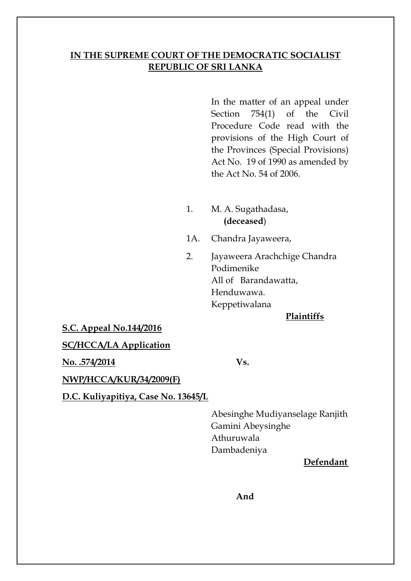# **IN THE SUPREME COURT OF THE DEMOCRATIC SOCIALIST REPUBLIC OF SRI LANKA**

In the matter of an appeal under Section 754(1) of the Civil Procedure Code read with the provisions of the High Court of the Provinces (Special Provisions) Act No. 19 of 1990 as amended by the Act No. 54 of 2006.

- 1. M. A. Sugathadasa, **(deceased**)
- 1A. Chandra Jayaweera,
- 2. Jayaweera Arachchige Chandra Podimenike All of Barandawatta, Henduwawa. Keppetiwalana

#### **Plaintiffs**

#### **S.C. Appeal No.144/2016**

### **SC/HCCA/LA Application**

**No. .574/2014 Vs.**

**NWP/HCCA/KUR/34/2009(F)**

**D.C. Kuliyapitiya, Case No. 13645/L**

Abesinghe Mudiyanselage Ranjith Gamini Abeysinghe Athuruwala Dambadeniya

### **Defendant**

### **And**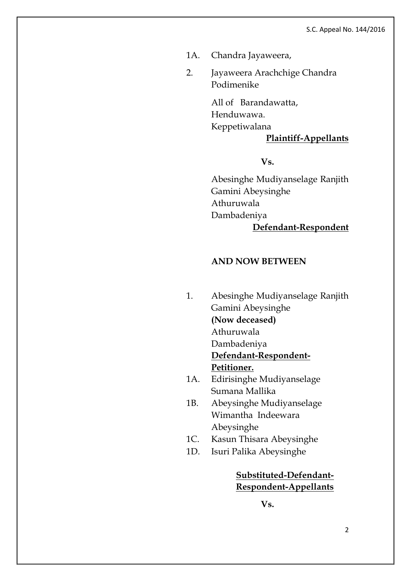- 1A. Chandra Jayaweera,
- 2. Jayaweera Arachchige Chandra Podimenike

All of Barandawatta, Henduwawa. Keppetiwalana

### **Plaintiff-Appellants**

**Vs.**

Abesinghe Mudiyanselage Ranjith Gamini Abeysinghe Athuruwala Dambadeniya **Defendant-Respondent**

#### **AND NOW BETWEEN**

- 1. Abesinghe Mudiyanselage Ranjith Gamini Abeysinghe **(Now deceased)** Athuruwala Dambadeniya **Defendant-Respondent-Petitioner.** 1A. Edirisinghe Mudiyanselage Sumana Mallika 1B. Abeysinghe Mudiyanselage
- Wimantha Indeewara Abeysinghe
- 1C. Kasun Thisara Abeysinghe
- 1D. Isuri Palika Abeysinghe

**Substituted-Defendant-Respondent-Appellants**

**Vs.**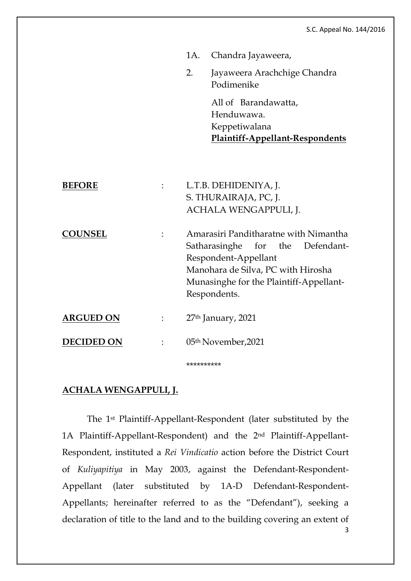|                   |                                                                                                                                                                                                    | 1A. Chandra Jayaweera,                                                                 |
|-------------------|----------------------------------------------------------------------------------------------------------------------------------------------------------------------------------------------------|----------------------------------------------------------------------------------------|
|                   | 2.                                                                                                                                                                                                 | Jayaweera Arachchige Chandra<br>Podimenike                                             |
|                   |                                                                                                                                                                                                    | All of Barandawatta,<br>Henduwawa.<br>Keppetiwalana<br>Plaintiff-Appellant-Respondents |
| <b>BEFORE</b>     |                                                                                                                                                                                                    | L.T.B. DEHIDENIYA, J.<br>S. THURAIRAJA, PC, J.<br>ACHALA WENGAPPULI, J.                |
| <b>COUNSEL</b>    | Amarasiri Panditharatne with Nimantha<br>Satharasinghe for the Defendant-<br>Respondent-Appellant<br>Manohara de Silva, PC with Hirosha<br>Munasinghe for the Plaintiff-Appellant-<br>Respondents. |                                                                                        |
| <b>ARGUED ON</b>  |                                                                                                                                                                                                    | 27 <sup>th</sup> January, 2021                                                         |
| <b>DECIDED ON</b> |                                                                                                                                                                                                    | 05 <sup>th</sup> November, 2021                                                        |
|                   | **********                                                                                                                                                                                         |                                                                                        |

## **ACHALA WENGAPPULI, J.**

The 1st Plaintiff-Appellant-Respondent (later substituted by the 1A Plaintiff-Appellant-Respondent) and the 2nd Plaintiff-Appellant-Respondent, instituted a *Rei Vindicatio* action before the District Court of *Kuliyapitiya* in May 2003, against the Defendant-Respondent-Appellant (later substituted by 1A-D Defendant-Respondent-Appellants; hereinafter referred to as the "Defendant"), seeking a declaration of title to the land and to the building covering an extent of

3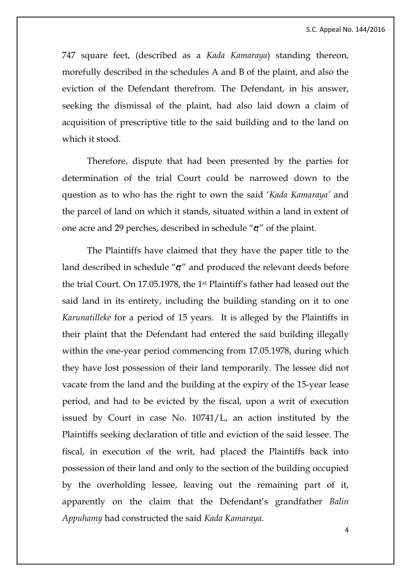747 square feet, (described as a *Kada Kamaraya*) standing thereon, morefully described in the schedules A and B of the plaint, and also the eviction of the Defendant therefrom. The Defendant, in his answer, seeking the dismissal of the plaint, had also laid down a claim of acquisition of prescriptive title to the said building and to the land on which it stood.

Therefore, dispute that had been presented by the parties for determination of the trial Court could be narrowed down to the question as to who has the right to own the said '*Kada Kamaraya'* and the parcel of land on which it stands, situated within a land in extent of one acre and 29 perches, described in schedule " $\mathbf{q}$ " of the plaint.

The Plaintiffs have claimed that they have the paper title to the land described in schedule " $\mathfrak{q}$ " and produced the relevant deeds before the trial Court. On 17.05.1978, the 1st Plaintiff's father had leased out the said land in its entirety, including the building standing on it to one *Karunatilleke* for a period of 15 years. It is alleged by the Plaintiffs in their plaint that the Defendant had entered the said building illegally within the one-year period commencing from 17.05.1978, during which they have lost possession of their land temporarily. The lessee did not vacate from the land and the building at the expiry of the 15-year lease period, and had to be evicted by the fiscal, upon a writ of execution issued by Court in case No. 10741/L, an action instituted by the Plaintiffs seeking declaration of title and eviction of the said lessee. The fiscal, in execution of the writ, had placed the Plaintiffs back into possession of their land and only to the section of the building occupied by the overholding lessee, leaving out the remaining part of it, apparently on the claim that the Defendant's grandfather *Balin Appuhamy* had constructed the said *Kada Kamaraya*.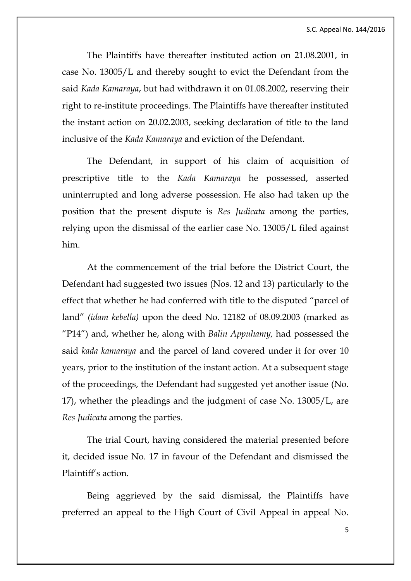The Plaintiffs have thereafter instituted action on 21.08.2001, in case No. 13005/L and thereby sought to evict the Defendant from the said *Kada Kamaraya*, but had withdrawn it on 01.08.2002, reserving their right to re-institute proceedings. The Plaintiffs have thereafter instituted the instant action on 20.02.2003, seeking declaration of title to the land inclusive of the *Kada Kamaraya* and eviction of the Defendant.

The Defendant, in support of his claim of acquisition of prescriptive title to the *Kada Kamaraya* he possessed, asserted uninterrupted and long adverse possession. He also had taken up the position that the present dispute is *Res Judicata* among the parties, relying upon the dismissal of the earlier case No. 13005/L filed against him.

At the commencement of the trial before the District Court, the Defendant had suggested two issues (Nos. 12 and 13) particularly to the effect that whether he had conferred with title to the disputed "parcel of land" *(idam kebella)* upon the deed No. 12182 of 08.09.2003 (marked as "P14") and, whether he, along with *Balin Appuhamy,* had possessed the said *kada kamaraya* and the parcel of land covered under it for over 10 years, prior to the institution of the instant action. At a subsequent stage of the proceedings, the Defendant had suggested yet another issue (No. 17), whether the pleadings and the judgment of case No. 13005/L, are *Res Judicata* among the parties.

The trial Court, having considered the material presented before it, decided issue No. 17 in favour of the Defendant and dismissed the Plaintiff's action.

Being aggrieved by the said dismissal, the Plaintiffs have preferred an appeal to the High Court of Civil Appeal in appeal No.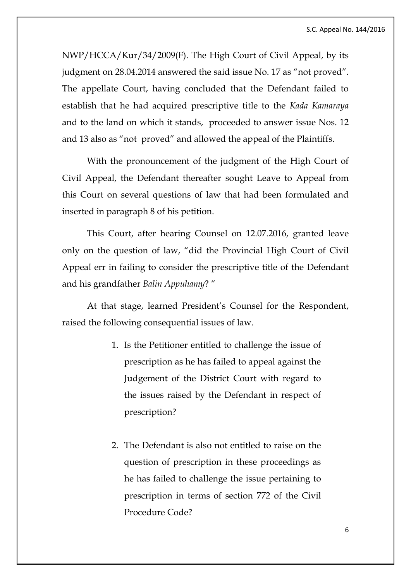NWP/HCCA/Kur/34/2009(F). The High Court of Civil Appeal, by its judgment on 28.04.2014 answered the said issue No. 17 as "not proved". The appellate Court, having concluded that the Defendant failed to establish that he had acquired prescriptive title to the *Kada Kamaraya*  and to the land on which it stands, proceeded to answer issue Nos. 12 and 13 also as "not proved" and allowed the appeal of the Plaintiffs.

With the pronouncement of the judgment of the High Court of Civil Appeal, the Defendant thereafter sought Leave to Appeal from this Court on several questions of law that had been formulated and inserted in paragraph 8 of his petition.

This Court, after hearing Counsel on 12.07.2016, granted leave only on the question of law, "did the Provincial High Court of Civil Appeal err in failing to consider the prescriptive title of the Defendant and his grandfather *Balin Appuhamy*? "

At that stage, learned President's Counsel for the Respondent, raised the following consequential issues of law.

- 1. Is the Petitioner entitled to challenge the issue of prescription as he has failed to appeal against the Judgement of the District Court with regard to the issues raised by the Defendant in respect of prescription?
- 2. The Defendant is also not entitled to raise on the question of prescription in these proceedings as he has failed to challenge the issue pertaining to prescription in terms of section 772 of the Civil Procedure Code?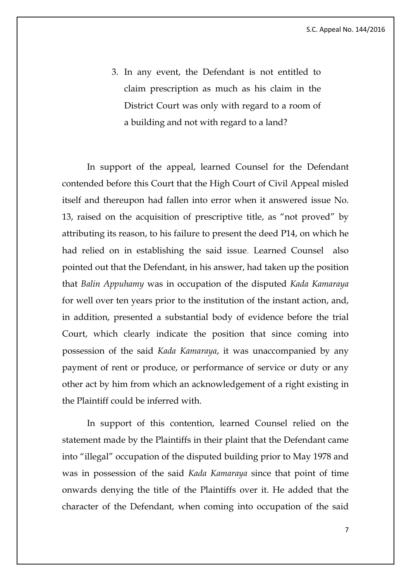3. In any event, the Defendant is not entitled to claim prescription as much as his claim in the District Court was only with regard to a room of a building and not with regard to a land?

In support of the appeal, learned Counsel for the Defendant contended before this Court that the High Court of Civil Appeal misled itself and thereupon had fallen into error when it answered issue No. 13, raised on the acquisition of prescriptive title, as "not proved" by attributing its reason, to his failure to present the deed P14, on which he had relied on in establishing the said issue. Learned Counsel also pointed out that the Defendant, in his answer, had taken up the position that *Balin Appuhamy* was in occupation of the disputed *Kada Kamaraya* for well over ten years prior to the institution of the instant action, and, in addition, presented a substantial body of evidence before the trial Court, which clearly indicate the position that since coming into possession of the said *Kada Kamaraya*, it was unaccompanied by any payment of rent or produce, or performance of service or duty or any other act by him from which an acknowledgement of a right existing in the Plaintiff could be inferred with.

In support of this contention, learned Counsel relied on the statement made by the Plaintiffs in their plaint that the Defendant came into "illegal" occupation of the disputed building prior to May 1978 and was in possession of the said *Kada Kamaraya* since that point of time onwards denying the title of the Plaintiffs over it. He added that the character of the Defendant, when coming into occupation of the said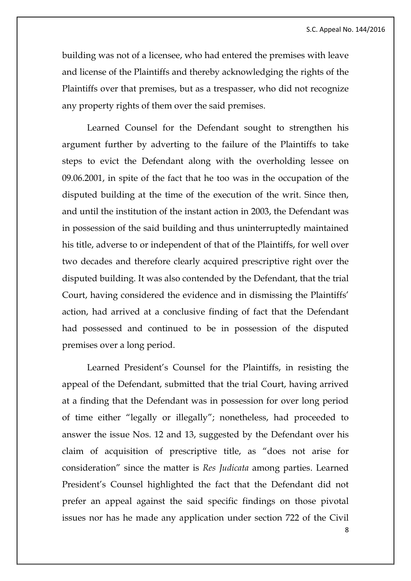building was not of a licensee, who had entered the premises with leave and license of the Plaintiffs and thereby acknowledging the rights of the Plaintiffs over that premises, but as a trespasser, who did not recognize any property rights of them over the said premises.

Learned Counsel for the Defendant sought to strengthen his argument further by adverting to the failure of the Plaintiffs to take steps to evict the Defendant along with the overholding lessee on 09.06.2001, in spite of the fact that he too was in the occupation of the disputed building at the time of the execution of the writ. Since then, and until the institution of the instant action in 2003, the Defendant was in possession of the said building and thus uninterruptedly maintained his title, adverse to or independent of that of the Plaintiffs, for well over two decades and therefore clearly acquired prescriptive right over the disputed building. It was also contended by the Defendant, that the trial Court, having considered the evidence and in dismissing the Plaintiffs' action, had arrived at a conclusive finding of fact that the Defendant had possessed and continued to be in possession of the disputed premises over a long period.

Learned President's Counsel for the Plaintiffs, in resisting the appeal of the Defendant, submitted that the trial Court, having arrived at a finding that the Defendant was in possession for over long period of time either "legally or illegally"; nonetheless, had proceeded to answer the issue Nos. 12 and 13, suggested by the Defendant over his claim of acquisition of prescriptive title, as "does not arise for consideration" since the matter is *Res Judicata* among parties. Learned President's Counsel highlighted the fact that the Defendant did not prefer an appeal against the said specific findings on those pivotal issues nor has he made any application under section 722 of the Civil

8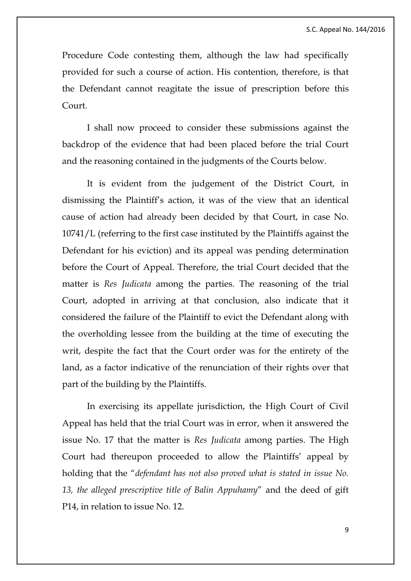Procedure Code contesting them, although the law had specifically provided for such a course of action. His contention, therefore, is that the Defendant cannot reagitate the issue of prescription before this Court.

I shall now proceed to consider these submissions against the backdrop of the evidence that had been placed before the trial Court and the reasoning contained in the judgments of the Courts below.

It is evident from the judgement of the District Court, in dismissing the Plaintiff's action, it was of the view that an identical cause of action had already been decided by that Court, in case No. 10741/L (referring to the first case instituted by the Plaintiffs against the Defendant for his eviction) and its appeal was pending determination before the Court of Appeal. Therefore, the trial Court decided that the matter is *Res Judicata* among the parties. The reasoning of the trial Court, adopted in arriving at that conclusion, also indicate that it considered the failure of the Plaintiff to evict the Defendant along with the overholding lessee from the building at the time of executing the writ, despite the fact that the Court order was for the entirety of the land, as a factor indicative of the renunciation of their rights over that part of the building by the Plaintiffs.

In exercising its appellate jurisdiction, the High Court of Civil Appeal has held that the trial Court was in error, when it answered the issue No. 17 that the matter is *Res Judicata* among parties. The High Court had thereupon proceeded to allow the Plaintiffs' appeal by holding that the "*defendant has not also proved what is stated in issue No. 13, the alleged prescriptive title of Balin Appuhamy*" and the deed of gift P14, in relation to issue No. 12.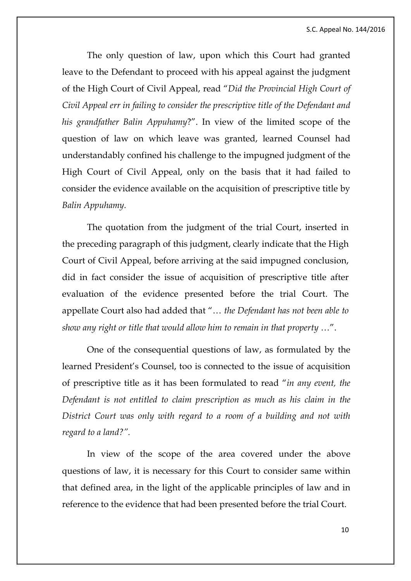The only question of law, upon which this Court had granted leave to the Defendant to proceed with his appeal against the judgment of the High Court of Civil Appeal, read "*Did the Provincial High Court of Civil Appeal err in failing to consider the prescriptive title of the Defendant and his grandfather Balin Appuhamy*?". In view of the limited scope of the question of law on which leave was granted, learned Counsel had understandably confined his challenge to the impugned judgment of the High Court of Civil Appeal, only on the basis that it had failed to consider the evidence available on the acquisition of prescriptive title by *Balin Appuhamy.*

The quotation from the judgment of the trial Court, inserted in the preceding paragraph of this judgment, clearly indicate that the High Court of Civil Appeal, before arriving at the said impugned conclusion, did in fact consider the issue of acquisition of prescriptive title after evaluation of the evidence presented before the trial Court. The appellate Court also had added that "… *the Defendant has not been able to show any right or title that would allow him to remain in that property* …".

One of the consequential questions of law, as formulated by the learned President's Counsel, too is connected to the issue of acquisition of prescriptive title as it has been formulated to read "*in any event, the Defendant is not entitled to claim prescription as much as his claim in the District Court was only with regard to a room of a building and not with regard to a land?".*

In view of the scope of the area covered under the above questions of law, it is necessary for this Court to consider same within that defined area, in the light of the applicable principles of law and in reference to the evidence that had been presented before the trial Court.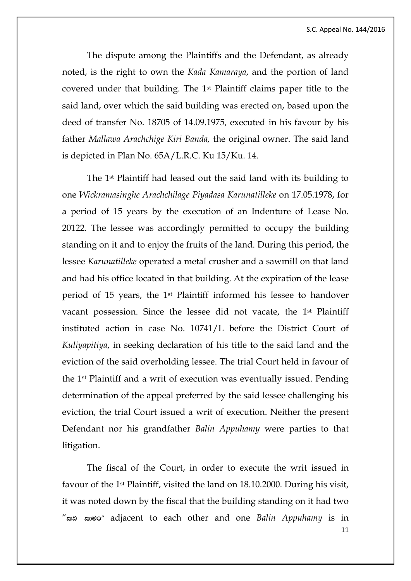The dispute among the Plaintiffs and the Defendant, as already noted, is the right to own the *Kada Kamaraya*, and the portion of land covered under that building. The 1st Plaintiff claims paper title to the said land, over which the said building was erected on, based upon the deed of transfer No. 18705 of 14.09.1975, executed in his favour by his father *Mallawa Arachchige Kiri Banda,* the original owner. The said land is depicted in Plan No. 65A/L.R.C. Ku 15/Ku. 14.

The 1st Plaintiff had leased out the said land with its building to one *Wickramasinghe Arachchilage Piyadasa Karunatilleke* on 17.05.1978, for a period of 15 years by the execution of an Indenture of Lease No. 20122. The lessee was accordingly permitted to occupy the building standing on it and to enjoy the fruits of the land. During this period, the lessee *Karunatilleke* operated a metal crusher and a sawmill on that land and had his office located in that building. At the expiration of the lease period of 15 years, the 1st Plaintiff informed his lessee to handover vacant possession. Since the lessee did not vacate, the 1st Plaintiff instituted action in case No. 10741/L before the District Court of *Kuliyapitiya*, in seeking declaration of his title to the said land and the eviction of the said overholding lessee. The trial Court held in favour of the 1st Plaintiff and a writ of execution was eventually issued. Pending determination of the appeal preferred by the said lessee challenging his eviction, the trial Court issued a writ of execution. Neither the present Defendant nor his grandfather *Balin Appuhamy* were parties to that litigation.

11 The fiscal of the Court, in order to execute the writ issued in favour of the 1st Plaintiff, visited the land on 18.10.2000. During his visit, it was noted down by the fiscal that the building standing on it had two "ผอ ฌ®o" adjacent to each other and one *Balin Appuhamy* is in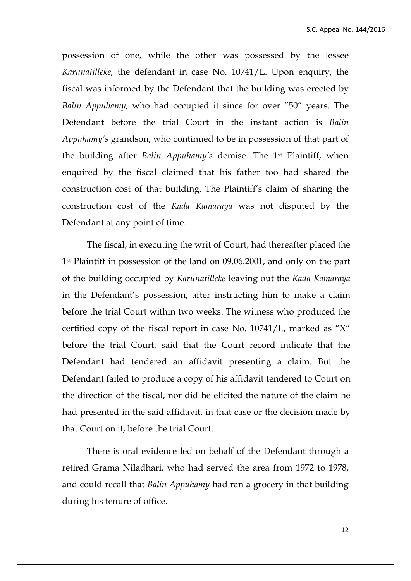possession of one, while the other was possessed by the lessee *Karunatilleke,* the defendant in case No. 10741/L. Upon enquiry, the fiscal was informed by the Defendant that the building was erected by *Balin Appuhamy,* who had occupied it since for over "50" years. The Defendant before the trial Court in the instant action is *Balin Appuhamy's* grandson, who continued to be in possession of that part of the building after *Balin Appuhamy's* demise*.* The 1st Plaintiff, when enquired by the fiscal claimed that his father too had shared the construction cost of that building. The Plaintiff's claim of sharing the construction cost of the *Kada Kamaraya* was not disputed by the Defendant at any point of time.

The fiscal, in executing the writ of Court, had thereafter placed the 1<sup>st</sup> Plaintiff in possession of the land on 09.06.2001, and only on the part of the building occupied by *Karunatilleke* leaving out the *Kada Kamaraya* in the Defendant's possession, after instructing him to make a claim before the trial Court within two weeks. The witness who produced the certified copy of the fiscal report in case No. 10741/L, marked as "X" before the trial Court, said that the Court record indicate that the Defendant had tendered an affidavit presenting a claim. But the Defendant failed to produce a copy of his affidavit tendered to Court on the direction of the fiscal, nor did he elicited the nature of the claim he had presented in the said affidavit, in that case or the decision made by that Court on it, before the trial Court.

There is oral evidence led on behalf of the Defendant through a retired Grama Niladhari, who had served the area from 1972 to 1978, and could recall that *Balin Appuhamy* had ran a grocery in that building during his tenure of office.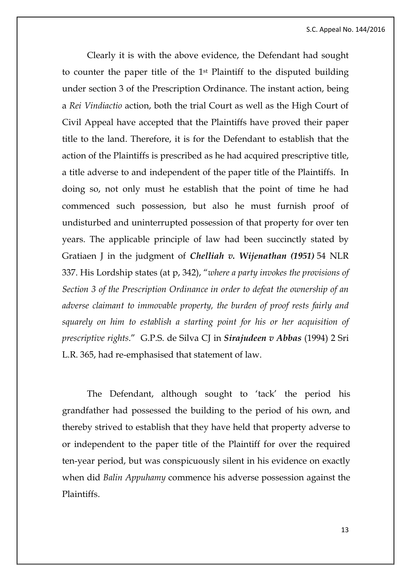Clearly it is with the above evidence, the Defendant had sought to counter the paper title of the 1st Plaintiff to the disputed building under section 3 of the Prescription Ordinance. The instant action, being a *Rei Vindiactio* action, both the trial Court as well as the High Court of Civil Appeal have accepted that the Plaintiffs have proved their paper title to the land. Therefore, it is for the Defendant to establish that the action of the Plaintiffs is prescribed as he had acquired prescriptive title, a title adverse to and independent of the paper title of the Plaintiffs. In doing so, not only must he establish that the point of time he had commenced such possession, but also he must furnish proof of undisturbed and uninterrupted possession of that property for over ten years. The applicable principle of law had been succinctly stated by Gratiaen J in the judgment of *Chelliah v. Wijenathan (1951)* 54 NLR 337. His Lordship states (at p, 342), "*where a party invokes the provisions of Section 3 of the Prescription Ordinance in order to defeat the ownership of an adverse claimant to immovable property, the burden of proof rests fairly and squarely on him to establish a starting point for his or her acquisition of prescriptive rights*." G.P.S. de Silva CJ in *Sirajudeen v Abbas* (1994) 2 Sri L.R. 365, had re-emphasised that statement of law.

The Defendant, although sought to 'tack' the period his grandfather had possessed the building to the period of his own, and thereby strived to establish that they have held that property adverse to or independent to the paper title of the Plaintiff for over the required ten-year period, but was conspicuously silent in his evidence on exactly when did *Balin Appuhamy* commence his adverse possession against the Plaintiffs.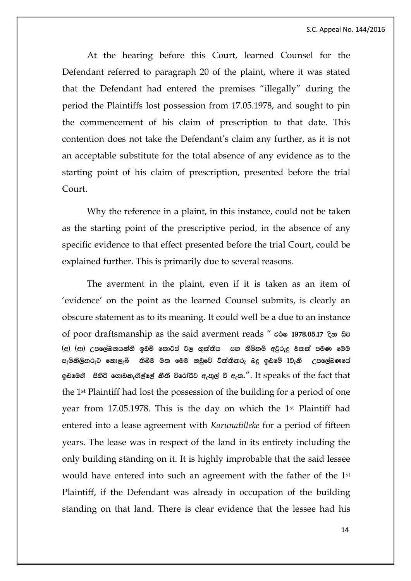At the hearing before this Court, learned Counsel for the Defendant referred to paragraph 20 of the plaint, where it was stated that the Defendant had entered the premises "illegally" during the period the Plaintiffs lost possession from 17.05.1978, and sought to pin the commencement of his claim of prescription to that date. This contention does not take the Defendant's claim any further, as it is not an acceptable substitute for the total absence of any evidence as to the starting point of his claim of prescription, presented before the trial Court.

Why the reference in a plaint, in this instance, could not be taken as the starting point of the prescriptive period, in the absence of any specific evidence to that effect presented before the trial Court, could be explained further. This is primarily due to several reasons.

The averment in the plaint, even if it is taken as an item of 'evidence' on the point as the learned Counsel submits, is clearly an obscure statement as to its meaning. It could well be a due to an instance of poor draftsmanship as the said averment reads "  $\delta \phi$  1978.05.17  $\delta \phi$  as  $^{\text{(c)}}$   $^{\text{(d)}}$   $^{\text{(c)}}$  උපලේඛනයන්හි ඉඩම් කොටස් වල භුක්තිය සහ හිමිකම් අවුරුදු එකක් පමණ මෙම පැමිනිලිකරුට නොලැබී තිබීම මත මෙම නඩුවේ විත්තිකරු බදු ඉඩමේ  $1$ වැනි  $\,$  උපලේඛණයේ ඉඩමෙනි පිනිරි ගොඩනැගිල්ලේ නීතී විරෝධීව ඇතුල් වී ඇත.". It speaks of the fact that the 1st Plaintiff had lost the possession of the building for a period of one year from 17.05.1978. This is the day on which the 1st Plaintiff had entered into a lease agreement with *Karunatilleke* for a period of fifteen years. The lease was in respect of the land in its entirety including the only building standing on it. It is highly improbable that the said lessee would have entered into such an agreement with the father of the 1st Plaintiff, if the Defendant was already in occupation of the building standing on that land. There is clear evidence that the lessee had his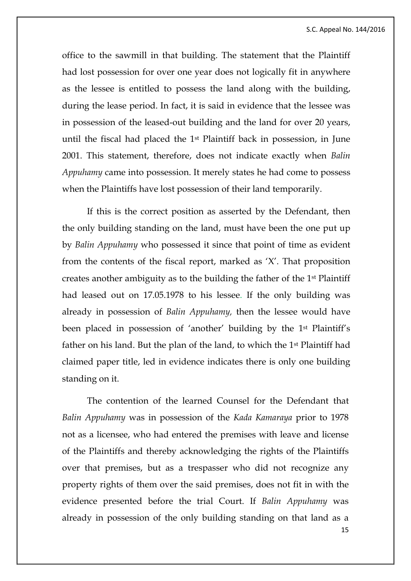office to the sawmill in that building. The statement that the Plaintiff had lost possession for over one year does not logically fit in anywhere as the lessee is entitled to possess the land along with the building, during the lease period. In fact, it is said in evidence that the lessee was in possession of the leased-out building and the land for over 20 years, until the fiscal had placed the 1st Plaintiff back in possession, in June 2001. This statement, therefore, does not indicate exactly when *Balin Appuhamy* came into possession. It merely states he had come to possess when the Plaintiffs have lost possession of their land temporarily.

If this is the correct position as asserted by the Defendant, then the only building standing on the land, must have been the one put up by *Balin Appuhamy* who possessed it since that point of time as evident from the contents of the fiscal report, marked as 'X'. That proposition creates another ambiguity as to the building the father of the 1st Plaintiff had leased out on 17.05.1978 to his lessee. If the only building was already in possession of *Balin Appuhamy,* then the lessee would have been placed in possession of 'another' building by the 1st Plaintiff's father on his land. But the plan of the land, to which the 1st Plaintiff had claimed paper title, led in evidence indicates there is only one building standing on it.

15 The contention of the learned Counsel for the Defendant that *Balin Appuhamy* was in possession of the *Kada Kamaraya* prior to 1978 not as a licensee, who had entered the premises with leave and license of the Plaintiffs and thereby acknowledging the rights of the Plaintiffs over that premises, but as a trespasser who did not recognize any property rights of them over the said premises, does not fit in with the evidence presented before the trial Court. If *Balin Appuhamy* was already in possession of the only building standing on that land as a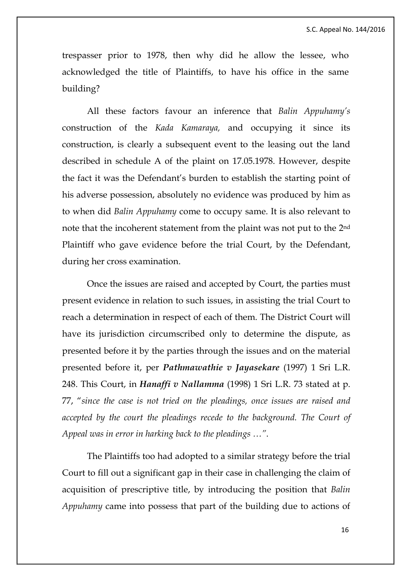trespasser prior to 1978, then why did he allow the lessee, who acknowledged the title of Plaintiffs, to have his office in the same building?

All these factors favour an inference that *Balin Appuhamy's*  construction of the *Kada Kamaraya,* and occupying it since its construction, is clearly a subsequent event to the leasing out the land described in schedule A of the plaint on 17.05.1978. However, despite the fact it was the Defendant's burden to establish the starting point of his adverse possession, absolutely no evidence was produced by him as to when did *Balin Appuhamy* come to occupy same. It is also relevant to note that the incoherent statement from the plaint was not put to the 2nd Plaintiff who gave evidence before the trial Court, by the Defendant, during her cross examination.

Once the issues are raised and accepted by Court, the parties must present evidence in relation to such issues, in assisting the trial Court to reach a determination in respect of each of them. The District Court will have its jurisdiction circumscribed only to determine the dispute, as presented before it by the parties through the issues and on the material presented before it, per *Pathmawathie v Jayasekare* (1997) 1 Sri L.R. 248. This Court, in *Hanaffi v Nallamma* (1998) 1 Sri L.R. 73 stated at p. 77, "*since the case is not tried on the pleadings, once issues are raised and accepted by the court the pleadings recede to the background. The Court of Appeal was in error in harking back to the pleadings …"*.

The Plaintiffs too had adopted to a similar strategy before the trial Court to fill out a significant gap in their case in challenging the claim of acquisition of prescriptive title, by introducing the position that *Balin Appuhamy* came into possess that part of the building due to actions of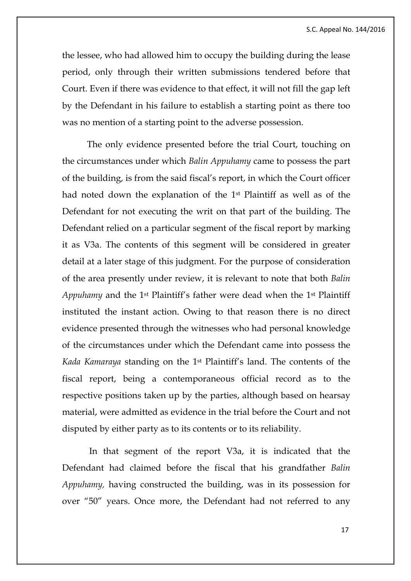the lessee, who had allowed him to occupy the building during the lease period, only through their written submissions tendered before that Court. Even if there was evidence to that effect, it will not fill the gap left by the Defendant in his failure to establish a starting point as there too was no mention of a starting point to the adverse possession.

The only evidence presented before the trial Court, touching on the circumstances under which *Balin Appuhamy* came to possess the part of the building, is from the said fiscal's report, in which the Court officer had noted down the explanation of the 1st Plaintiff as well as of the Defendant for not executing the writ on that part of the building. The Defendant relied on a particular segment of the fiscal report by marking it as V3a. The contents of this segment will be considered in greater detail at a later stage of this judgment. For the purpose of consideration of the area presently under review, it is relevant to note that both *Balin Appuhamy* and the 1st Plaintiff's father were dead when the 1st Plaintiff instituted the instant action. Owing to that reason there is no direct evidence presented through the witnesses who had personal knowledge of the circumstances under which the Defendant came into possess the *Kada Kamaraya* standing on the 1st Plaintiff's land. The contents of the fiscal report, being a contemporaneous official record as to the respective positions taken up by the parties, although based on hearsay material, were admitted as evidence in the trial before the Court and not disputed by either party as to its contents or to its reliability.

In that segment of the report V3a, it is indicated that the Defendant had claimed before the fiscal that his grandfather *Balin Appuhamy,* having constructed the building, was in its possession for over "50" years. Once more, the Defendant had not referred to any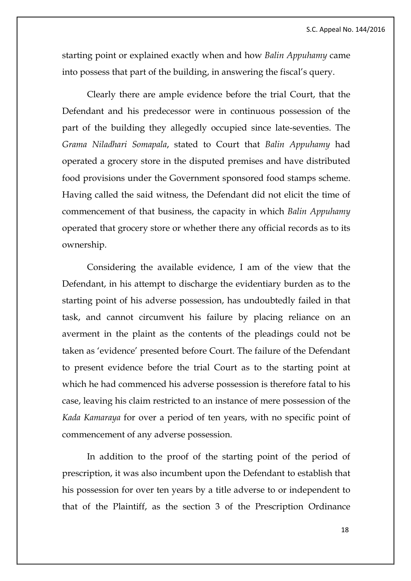starting point or explained exactly when and how *Balin Appuhamy* came into possess that part of the building, in answering the fiscal's query.

Clearly there are ample evidence before the trial Court, that the Defendant and his predecessor were in continuous possession of the part of the building they allegedly occupied since late-seventies. The *Grama Niladhari Somapala*, stated to Court that *Balin Appuhamy* had operated a grocery store in the disputed premises and have distributed food provisions under the Government sponsored food stamps scheme. Having called the said witness, the Defendant did not elicit the time of commencement of that business, the capacity in which *Balin Appuhamy*  operated that grocery store or whether there any official records as to its ownership.

Considering the available evidence, I am of the view that the Defendant, in his attempt to discharge the evidentiary burden as to the starting point of his adverse possession, has undoubtedly failed in that task, and cannot circumvent his failure by placing reliance on an averment in the plaint as the contents of the pleadings could not be taken as 'evidence' presented before Court. The failure of the Defendant to present evidence before the trial Court as to the starting point at which he had commenced his adverse possession is therefore fatal to his case, leaving his claim restricted to an instance of mere possession of the *Kada Kamaraya* for over a period of ten years, with no specific point of commencement of any adverse possession.

In addition to the proof of the starting point of the period of prescription, it was also incumbent upon the Defendant to establish that his possession for over ten years by a title adverse to or independent to that of the Plaintiff, as the section 3 of the Prescription Ordinance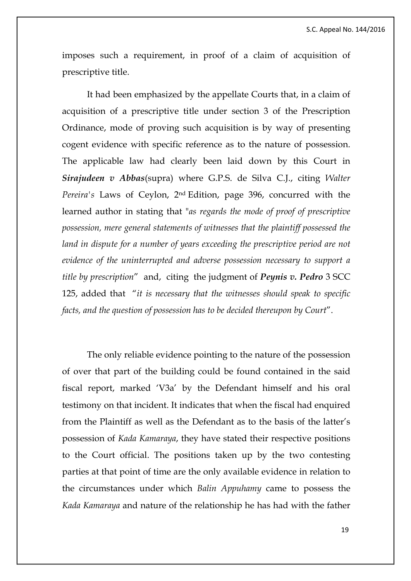imposes such a requirement, in proof of a claim of acquisition of prescriptive title.

It had been emphasized by the appellate Courts that, in a claim of acquisition of a prescriptive title under section 3 of the Prescription Ordinance, mode of proving such acquisition is by way of presenting cogent evidence with specific reference as to the nature of possession. The applicable law had clearly been laid down by this Court in *Sirajudeen v Abbas*(supra) where G.P.S. de Silva C.J., citing *Walter Pereira's* Laws of Ceylon, 2nd Edition, page 396, concurred with the learned author in stating that "*as regards the mode of proof of prescriptive possession, mere general statements of witnesses that the plaintiff possessed the*  land in dispute for a number of years exceeding the prescriptive period are not *evidence of the uninterrupted and adverse possession necessary to support a title by prescription*" and, citing the judgment of *Peynis v. Pedro* 3 SCC 125, added that "*it is necessary that the witnesses should speak to specific facts, and the question of possession has to be decided thereupon by Court*".

The only reliable evidence pointing to the nature of the possession of over that part of the building could be found contained in the said fiscal report, marked 'V3a' by the Defendant himself and his oral testimony on that incident. It indicates that when the fiscal had enquired from the Plaintiff as well as the Defendant as to the basis of the latter's possession of *Kada Kamaraya*, they have stated their respective positions to the Court official. The positions taken up by the two contesting parties at that point of time are the only available evidence in relation to the circumstances under which *Balin Appuhamy* came to possess the *Kada Kamaraya* and nature of the relationship he has had with the father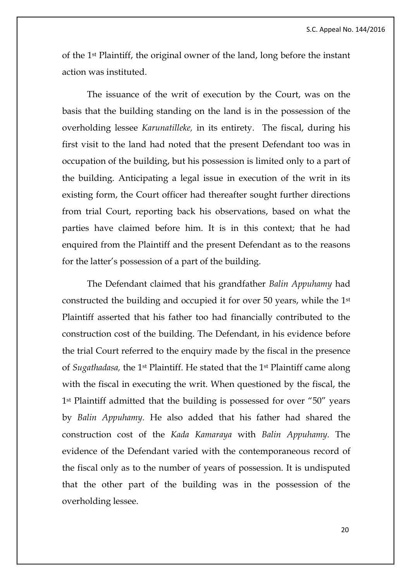of the 1st Plaintiff, the original owner of the land, long before the instant action was instituted.

The issuance of the writ of execution by the Court, was on the basis that the building standing on the land is in the possession of the overholding lessee *Karunatilleke,* in its entirety. The fiscal, during his first visit to the land had noted that the present Defendant too was in occupation of the building, but his possession is limited only to a part of the building. Anticipating a legal issue in execution of the writ in its existing form, the Court officer had thereafter sought further directions from trial Court, reporting back his observations, based on what the parties have claimed before him. It is in this context; that he had enquired from the Plaintiff and the present Defendant as to the reasons for the latter's possession of a part of the building.

The Defendant claimed that his grandfather *Balin Appuhamy* had constructed the building and occupied it for over 50 years, while the 1st Plaintiff asserted that his father too had financially contributed to the construction cost of the building. The Defendant, in his evidence before the trial Court referred to the enquiry made by the fiscal in the presence of *Sugathadasa,* the 1st Plaintiff. He stated that the 1st Plaintiff came along with the fiscal in executing the writ. When questioned by the fiscal, the 1st Plaintiff admitted that the building is possessed for over "50" years by *Balin Appuhamy.* He also added that his father had shared the construction cost of the *Kada Kamaraya* with *Balin Appuhamy.* The evidence of the Defendant varied with the contemporaneous record of the fiscal only as to the number of years of possession. It is undisputed that the other part of the building was in the possession of the overholding lessee.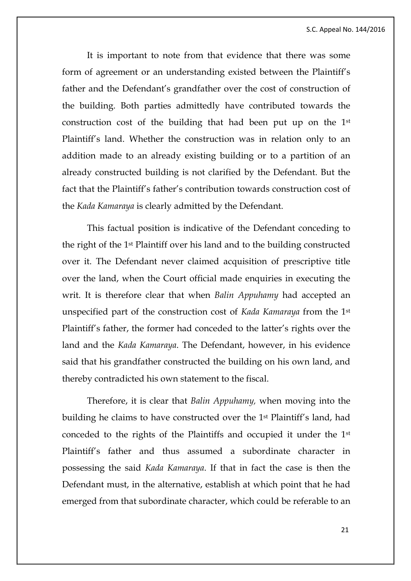It is important to note from that evidence that there was some form of agreement or an understanding existed between the Plaintiff's father and the Defendant's grandfather over the cost of construction of the building. Both parties admittedly have contributed towards the construction cost of the building that had been put up on the 1st Plaintiff's land. Whether the construction was in relation only to an addition made to an already existing building or to a partition of an already constructed building is not clarified by the Defendant. But the fact that the Plaintiff's father's contribution towards construction cost of the *Kada Kamaraya* is clearly admitted by the Defendant.

This factual position is indicative of the Defendant conceding to the right of the 1st Plaintiff over his land and to the building constructed over it. The Defendant never claimed acquisition of prescriptive title over the land, when the Court official made enquiries in executing the writ. It is therefore clear that when *Balin Appuhamy* had accepted an unspecified part of the construction cost of *Kada Kamaraya* from the 1st Plaintiff's father, the former had conceded to the latter's rights over the land and the *Kada Kamaraya*. The Defendant, however, in his evidence said that his grandfather constructed the building on his own land, and thereby contradicted his own statement to the fiscal.

Therefore, it is clear that *Balin Appuhamy,* when moving into the building he claims to have constructed over the 1st Plaintiff's land, had conceded to the rights of the Plaintiffs and occupied it under the 1st Plaintiff's father and thus assumed a subordinate character in possessing the said *Kada Kamaraya*. If that in fact the case is then the Defendant must, in the alternative, establish at which point that he had emerged from that subordinate character, which could be referable to an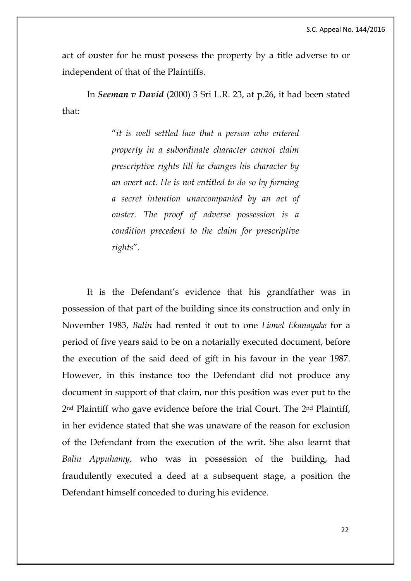act of ouster for he must possess the property by a title adverse to or independent of that of the Plaintiffs.

In *Seeman v David* (2000) 3 Sri L.R. 23, at p.26, it had been stated that:

> "*it is well settled law that a person who entered property in a subordinate character cannot claim prescriptive rights till he changes his character by an overt act. He is not entitled to do so by forming a secret intention unaccompanied by an act of ouster. The proof of adverse possession is a condition precedent to the claim for prescriptive rights*".

It is the Defendant's evidence that his grandfather was in possession of that part of the building since its construction and only in November 1983, *Balin* had rented it out to one *Lionel Ekanayake* for a period of five years said to be on a notarially executed document, before the execution of the said deed of gift in his favour in the year 1987. However, in this instance too the Defendant did not produce any document in support of that claim, nor this position was ever put to the 2nd Plaintiff who gave evidence before the trial Court. The 2nd Plaintiff, in her evidence stated that she was unaware of the reason for exclusion of the Defendant from the execution of the writ. She also learnt that *Balin Appuhamy,* who was in possession of the building, had fraudulently executed a deed at a subsequent stage, a position the Defendant himself conceded to during his evidence.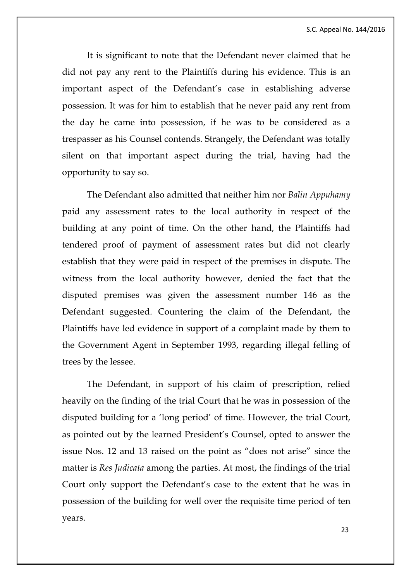S.C. Appeal No. 144/2016

It is significant to note that the Defendant never claimed that he did not pay any rent to the Plaintiffs during his evidence. This is an important aspect of the Defendant's case in establishing adverse possession. It was for him to establish that he never paid any rent from the day he came into possession, if he was to be considered as a trespasser as his Counsel contends. Strangely, the Defendant was totally silent on that important aspect during the trial, having had the opportunity to say so.

The Defendant also admitted that neither him nor *Balin Appuhamy*  paid any assessment rates to the local authority in respect of the building at any point of time. On the other hand, the Plaintiffs had tendered proof of payment of assessment rates but did not clearly establish that they were paid in respect of the premises in dispute. The witness from the local authority however, denied the fact that the disputed premises was given the assessment number 146 as the Defendant suggested. Countering the claim of the Defendant, the Plaintiffs have led evidence in support of a complaint made by them to the Government Agent in September 1993, regarding illegal felling of trees by the lessee.

The Defendant, in support of his claim of prescription, relied heavily on the finding of the trial Court that he was in possession of the disputed building for a 'long period' of time. However, the trial Court, as pointed out by the learned President's Counsel, opted to answer the issue Nos. 12 and 13 raised on the point as "does not arise" since the matter is *Res Judicata* among the parties. At most, the findings of the trial Court only support the Defendant's case to the extent that he was in possession of the building for well over the requisite time period of ten years.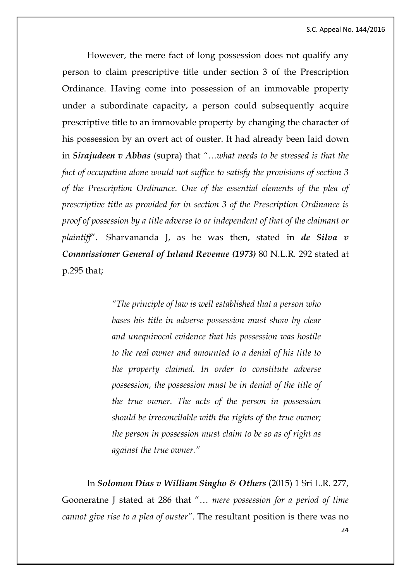However, the mere fact of long possession does not qualify any person to claim prescriptive title under section 3 of the Prescription Ordinance. Having come into possession of an immovable property under a subordinate capacity, a person could subsequently acquire prescriptive title to an immovable property by changing the character of his possession by an overt act of ouster. It had already been laid down in *Sirajudeen v Abbas* (supra) that *"…what needs to be stressed is that the fact of occupation alone would not suffice to satisfy the provisions of section 3 of the Prescription Ordinance. One of the essential elements of the plea of prescriptive title as provided for in section 3 of the Prescription Ordinance is proof of possession by a title adverse to or independent of that of the claimant or plaintiff*". Sharvananda J, as he was then, stated in *de Silva v Commissioner General of Inland Revenue (1973)* 80 N.L.R. 292 stated at p.295 that;

> *"The principle of law is well established that a person who bases his title in adverse possession must show by clear and unequivocal evidence that his possession was hostile to the real owner and amounted to a denial of his title to the property claimed. In order to constitute adverse possession, the possession must be in denial of the title of the true owner. The acts of the person in possession should be irreconcilable with the rights of the true owner; the person in possession must claim to be so as of right as against the true owner."*

24 In *Solomon Dias v William Singho & Others* (2015) 1 Sri L.R. 277, Gooneratne J stated at 286 that "… *mere possession for a period of time cannot give rise to a plea of ouster"*. The resultant position is there was no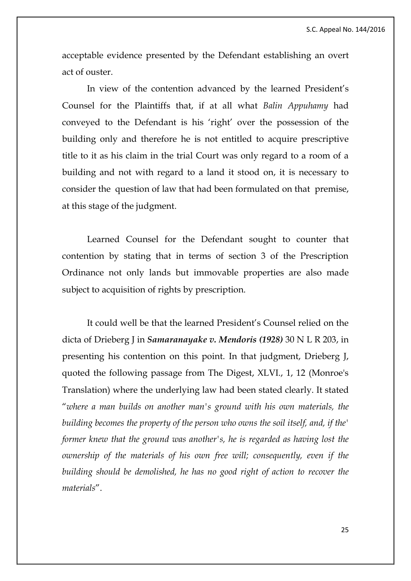acceptable evidence presented by the Defendant establishing an overt act of ouster.

In view of the contention advanced by the learned President's Counsel for the Plaintiffs that, if at all what *Balin Appuhamy* had conveyed to the Defendant is his 'right' over the possession of the building only and therefore he is not entitled to acquire prescriptive title to it as his claim in the trial Court was only regard to a room of a building and not with regard to a land it stood on, it is necessary to consider the question of law that had been formulated on that premise, at this stage of the judgment.

Learned Counsel for the Defendant sought to counter that contention by stating that in terms of section 3 of the Prescription Ordinance not only lands but immovable properties are also made subject to acquisition of rights by prescription.

It could well be that the learned President's Counsel relied on the dicta of Drieberg J in *Samaranayake v. Mendoris (1928)* 30 N L R 203, in presenting his contention on this point. In that judgment, Drieberg J, quoted the following passage from The Digest, XLVI., 1, 12 (Monroe's Translation) where the underlying law had been stated clearly. It stated "*where a man builds on another man's ground with his own materials, the building becomes the property of the person who owns the soil itself, and, if the' former knew that the ground was another's, he is regarded as having lost the ownership of the materials of his own free will; consequently, even if the building should be demolished, he has no good right of action to recover the materials*".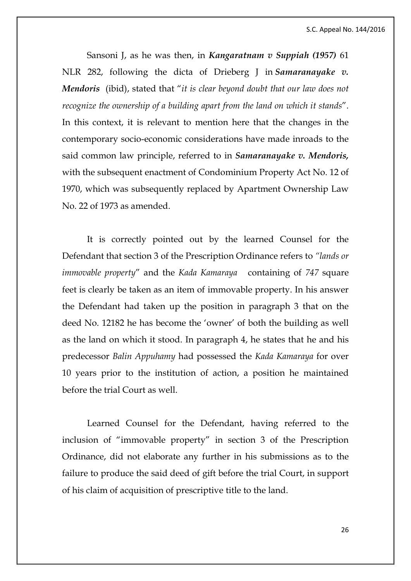Sansoni J, as he was then, in *Kangaratnam v Suppiah (1957)* 61 NLR 282, following the dicta of Drieberg J in *Samaranayake v. Mendoris* (ibid), stated that "*it is clear beyond doubt that our law does not recognize the ownership of a building apart from the land on which it stands*". In this context, it is relevant to mention here that the changes in the contemporary socio-economic considerations have made inroads to the said common law principle, referred to in *Samaranayake v. Mendoris,* with the subsequent enactment of Condominium Property Act No. 12 of 1970, which was subsequently replaced by Apartment Ownership Law No. 22 of 1973 as amended.

It is correctly pointed out by the learned Counsel for the Defendant that section 3 of the Prescription Ordinance refers to *"lands or immovable property*" and the *Kada Kamaraya* containing of *747* square feet is clearly be taken as an item of immovable property. In his answer the Defendant had taken up the position in paragraph 3 that on the deed No. 12182 he has become the 'owner' of both the building as well as the land on which it stood. In paragraph 4, he states that he and his predecessor *Balin Appuhamy* had possessed the *Kada Kamaraya* for over 10 years prior to the institution of action, a position he maintained before the trial Court as well.

Learned Counsel for the Defendant, having referred to the inclusion of "immovable property" in section 3 of the Prescription Ordinance, did not elaborate any further in his submissions as to the failure to produce the said deed of gift before the trial Court, in support of his claim of acquisition of prescriptive title to the land.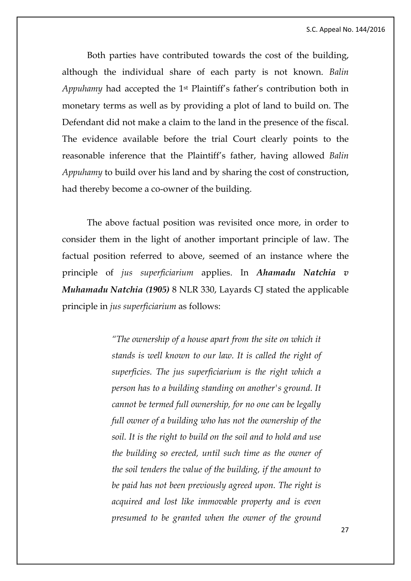S.C. Appeal No. 144/2016

Both parties have contributed towards the cost of the building, although the individual share of each party is not known. *Balin Appuhamy* had accepted the 1st Plaintiff's father's contribution both in monetary terms as well as by providing a plot of land to build on. The Defendant did not make a claim to the land in the presence of the fiscal. The evidence available before the trial Court clearly points to the reasonable inference that the Plaintiff's father, having allowed *Balin Appuhamy* to build over his land and by sharing the cost of construction, had thereby become a co-owner of the building.

The above factual position was revisited once more, in order to consider them in the light of another important principle of law. The factual position referred to above, seemed of an instance where the principle of *jus superficiarium* applies. In *Ahamadu Natchia v Muhamadu Natchia (1905)* 8 NLR 330, Layards CJ stated the applicable principle in *jus superficiarium* as follows:

> *"The ownership of a house apart from the site on which it stands is well known to our law. It is called the right of superficies. The jus superficiarium is the right which a person has to a building standing on another's ground. It cannot be termed full ownership, for no one can be legally full owner of a building who has not the ownership of the soil. It is the right to build on the soil and to hold and use the building so erected, until such time as the owner of the soil tenders the value of the building, if the amount to be paid has not been previously agreed upon. The right is acquired and lost like immovable property and is even presumed to be granted when the owner of the ground*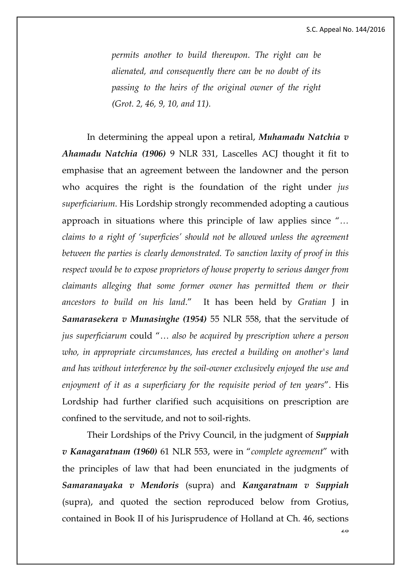$20$ 

*permits another to build thereupon. The right can be alienated, and consequently there can be no doubt of its passing to the heirs of the original owner of the right (Grot. 2, 46, 9, 10, and 11).*

In determining the appeal upon a retiral, *Muhamadu Natchia v Ahamadu Natchia (1906)* 9 NLR 331, Lascelles ACJ thought it fit to emphasise that an agreement between the landowner and the person who acquires the right is the foundation of the right under *jus superficiarium*. His Lordship strongly recommended adopting a cautious approach in situations where this principle of law applies since "*… claims to a right of 'superficies' should not be allowed unless the agreement between the parties is clearly demonstrated. To sanction laxity of proof in this respect would be to expose proprietors of house property to serious danger from claimants alleging that some former owner has permitted them or their ancestors to build on his land*." It has been held by *Gratian* J in *Samarasekera v Munasinghe (1954)* 55 NLR 558, that the servitude of *jus superficiarum* could "… *also be acquired by prescription where a person who, in appropriate circumstances, has erected a building on another's land and has without interference by the soil-owner exclusively enjoyed the use and enjoyment of it as a superficiary for the requisite period of ten years*". His Lordship had further clarified such acquisitions on prescription are confined to the servitude, and not to soil-rights.

Their Lordships of the Privy Council, in the judgment of *Suppiah v Kanagaratnam (1960)* 61 NLR 553, were in "*complete agreement*" with the principles of law that had been enunciated in the judgments of *Samaranayaka v Mendoris* (supra) and *Kangaratnam v Suppiah* (supra), and quoted the section reproduced below from Grotius, contained in Book II of his Jurisprudence of Holland at Ch. 46, sections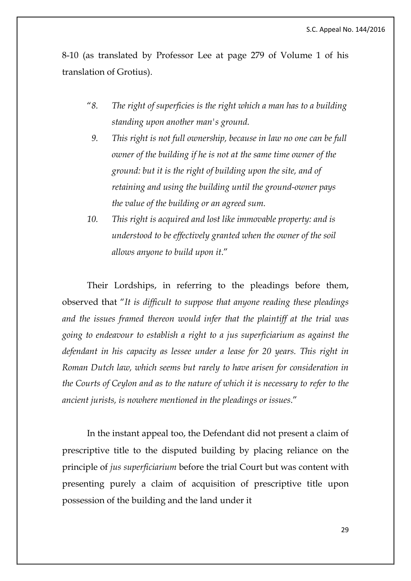8-10 (as translated by Professor Lee at page 279 of Volume 1 of his translation of Grotius).

- "*8. The right of superficies is the right which a man has to a building standing upon another man's ground.*
- *9. This right is not full ownership, because in law no one can be full owner of the building if he is not at the same time owner of the ground: but it is the right of building upon the site, and of retaining and using the building until the ground-owner pays the value of the building or an agreed sum.*
- *10. This right is acquired and lost like immovable property: and is understood to be effectively granted when the owner of the soil allows anyone to build upon it*."

Their Lordships, in referring to the pleadings before them, observed that "*It is difficult to suppose that anyone reading these pleadings and the issues framed thereon would infer that the plaintiff at the trial was going to endeavour to establish a right to a jus superficiarium as against the defendant in his capacity as lessee under a lease for 20 years. This right in Roman Dutch law, which seems but rarely to have arisen for consideration in the Courts of Ceylon and as to the nature of which it is necessary to refer to the ancient jurists, is nowhere mentioned in the pleadings or issues*."

In the instant appeal too, the Defendant did not present a claim of prescriptive title to the disputed building by placing reliance on the principle of *jus superficiarium* before the trial Court but was content with presenting purely a claim of acquisition of prescriptive title upon possession of the building and the land under it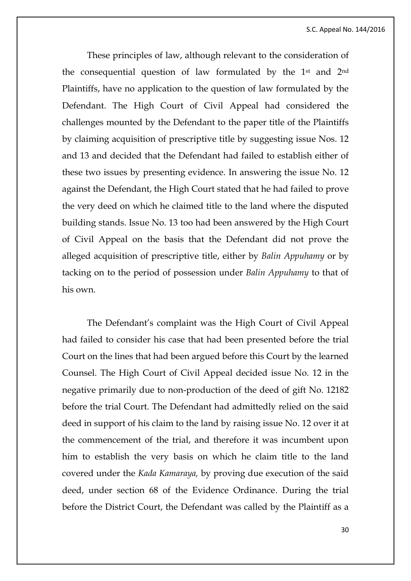These principles of law, although relevant to the consideration of the consequential question of law formulated by the 1st and 2nd Plaintiffs, have no application to the question of law formulated by the Defendant. The High Court of Civil Appeal had considered the challenges mounted by the Defendant to the paper title of the Plaintiffs by claiming acquisition of prescriptive title by suggesting issue Nos. 12 and 13 and decided that the Defendant had failed to establish either of these two issues by presenting evidence. In answering the issue No. 12 against the Defendant, the High Court stated that he had failed to prove the very deed on which he claimed title to the land where the disputed building stands. Issue No. 13 too had been answered by the High Court of Civil Appeal on the basis that the Defendant did not prove the alleged acquisition of prescriptive title, either by *Balin Appuhamy* or by tacking on to the period of possession under *Balin Appuhamy* to that of his own.

The Defendant's complaint was the High Court of Civil Appeal had failed to consider his case that had been presented before the trial Court on the lines that had been argued before this Court by the learned Counsel. The High Court of Civil Appeal decided issue No. 12 in the negative primarily due to non-production of the deed of gift No. 12182 before the trial Court. The Defendant had admittedly relied on the said deed in support of his claim to the land by raising issue No. 12 over it at the commencement of the trial, and therefore it was incumbent upon him to establish the very basis on which he claim title to the land covered under the *Kada Kamaraya,* by proving due execution of the said deed, under section 68 of the Evidence Ordinance. During the trial before the District Court, the Defendant was called by the Plaintiff as a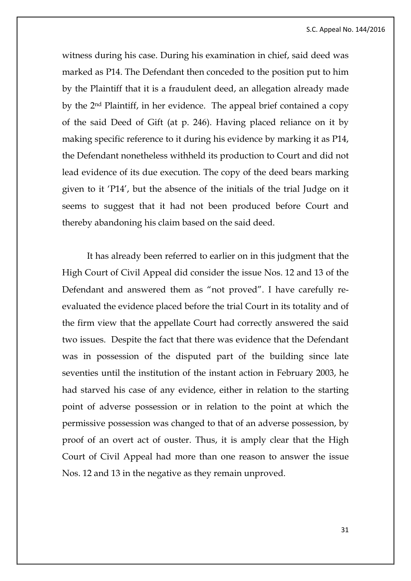witness during his case. During his examination in chief, said deed was marked as P14. The Defendant then conceded to the position put to him by the Plaintiff that it is a fraudulent deed, an allegation already made by the 2nd Plaintiff, in her evidence. The appeal brief contained a copy of the said Deed of Gift (at p. 246). Having placed reliance on it by making specific reference to it during his evidence by marking it as P14, the Defendant nonetheless withheld its production to Court and did not lead evidence of its due execution. The copy of the deed bears marking given to it 'P14', but the absence of the initials of the trial Judge on it seems to suggest that it had not been produced before Court and thereby abandoning his claim based on the said deed.

It has already been referred to earlier on in this judgment that the High Court of Civil Appeal did consider the issue Nos. 12 and 13 of the Defendant and answered them as "not proved". I have carefully reevaluated the evidence placed before the trial Court in its totality and of the firm view that the appellate Court had correctly answered the said two issues. Despite the fact that there was evidence that the Defendant was in possession of the disputed part of the building since late seventies until the institution of the instant action in February 2003, he had starved his case of any evidence, either in relation to the starting point of adverse possession or in relation to the point at which the permissive possession was changed to that of an adverse possession, by proof of an overt act of ouster. Thus, it is amply clear that the High Court of Civil Appeal had more than one reason to answer the issue Nos. 12 and 13 in the negative as they remain unproved.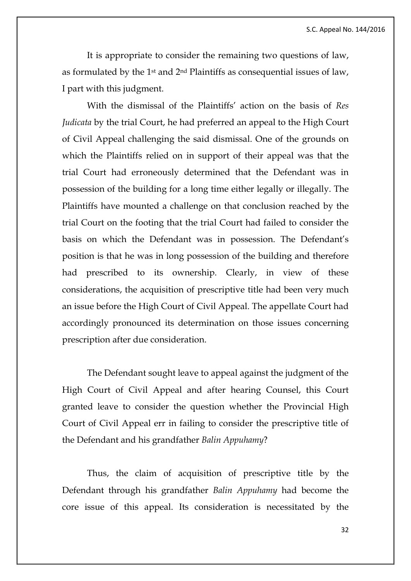It is appropriate to consider the remaining two questions of law, as formulated by the 1st and 2nd Plaintiffs as consequential issues of law, I part with this judgment.

With the dismissal of the Plaintiffs' action on the basis of *Res Judicata* by the trial Court, he had preferred an appeal to the High Court of Civil Appeal challenging the said dismissal. One of the grounds on which the Plaintiffs relied on in support of their appeal was that the trial Court had erroneously determined that the Defendant was in possession of the building for a long time either legally or illegally. The Plaintiffs have mounted a challenge on that conclusion reached by the trial Court on the footing that the trial Court had failed to consider the basis on which the Defendant was in possession. The Defendant's position is that he was in long possession of the building and therefore had prescribed to its ownership. Clearly, in view of these considerations, the acquisition of prescriptive title had been very much an issue before the High Court of Civil Appeal. The appellate Court had accordingly pronounced its determination on those issues concerning prescription after due consideration.

The Defendant sought leave to appeal against the judgment of the High Court of Civil Appeal and after hearing Counsel, this Court granted leave to consider the question whether the Provincial High Court of Civil Appeal err in failing to consider the prescriptive title of the Defendant and his grandfather *Balin Appuhamy*?

Thus, the claim of acquisition of prescriptive title by the Defendant through his grandfather *Balin Appuhamy* had become the core issue of this appeal. Its consideration is necessitated by the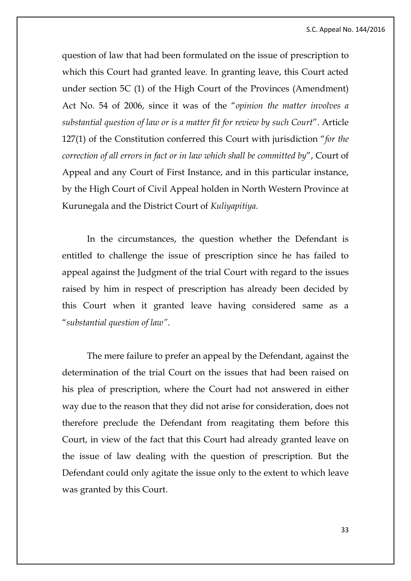S.C. Appeal No. 144/2016

question of law that had been formulated on the issue of prescription to which this Court had granted leave. In granting leave, this Court acted under section 5C (1) of the High Court of the Provinces (Amendment) Act No. 54 of 2006, since it was of the "*opinion the matter involves a substantial question of law or is a matter fit for review by such Court*". Article 127(1) of the Constitution conferred this Court with jurisdiction "*for the correction of all errors in fact or in law which shall be committed by*", Court of Appeal and any Court of First Instance, and in this particular instance, by the High Court of Civil Appeal holden in North Western Province at Kurunegala and the District Court of *Kuliyapitiya.*

In the circumstances, the question whether the Defendant is entitled to challenge the issue of prescription since he has failed to appeal against the Judgment of the trial Court with regard to the issues raised by him in respect of prescription has already been decided by this Court when it granted leave having considered same as a "*substantial question of law"*.

The mere failure to prefer an appeal by the Defendant, against the determination of the trial Court on the issues that had been raised on his plea of prescription, where the Court had not answered in either way due to the reason that they did not arise for consideration, does not therefore preclude the Defendant from reagitating them before this Court, in view of the fact that this Court had already granted leave on the issue of law dealing with the question of prescription. But the Defendant could only agitate the issue only to the extent to which leave was granted by this Court.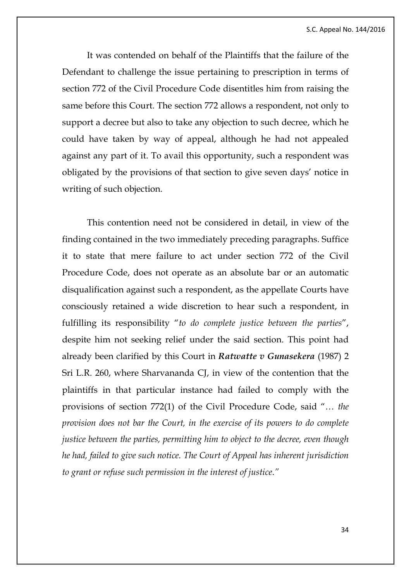It was contended on behalf of the Plaintiffs that the failure of the Defendant to challenge the issue pertaining to prescription in terms of section 772 of the Civil Procedure Code disentitles him from raising the same before this Court. The section 772 allows a respondent, not only to support a decree but also to take any objection to such decree, which he could have taken by way of appeal, although he had not appealed against any part of it. To avail this opportunity, such a respondent was obligated by the provisions of that section to give seven days' notice in writing of such objection.

This contention need not be considered in detail, in view of the finding contained in the two immediately preceding paragraphs. Suffice it to state that mere failure to act under section 772 of the Civil Procedure Code, does not operate as an absolute bar or an automatic disqualification against such a respondent, as the appellate Courts have consciously retained a wide discretion to hear such a respondent, in fulfilling its responsibility "*to do complete justice between the parties*", despite him not seeking relief under the said section. This point had already been clarified by this Court in *Ratwatte v Gunasekera* (1987) 2 Sri L.R. 260, where Sharvananda CJ, in view of the contention that the plaintiffs in that particular instance had failed to comply with the provisions of section 772(1) of the Civil Procedure Code, said "*… the provision does not bar the Court, in the exercise of its powers to do complete justice between the parties, permitting him to object to the decree, even though he had, failed to give such notice. The Court of Appeal has inherent jurisdiction to grant or refuse such permission in the interest of justice*.*"*